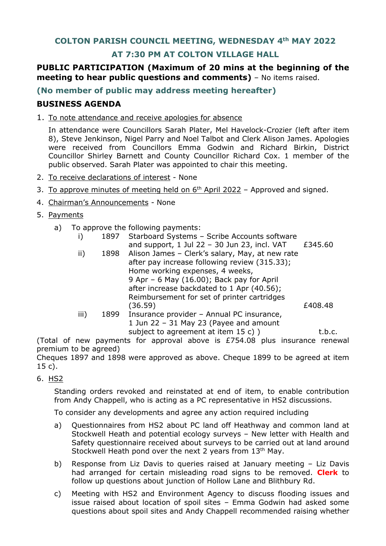# **AT 7:30 PM AT COLTON VILLAGE HALL**

# **PUBLIC PARTICIPATION (Maximum of 20 mins at the beginning of the meeting to hear public questions and comments)** – No items raised.

### **(No member of public may address meeting hereafter)**

## **BUSINESS AGENDA**

1. To note attendance and receive apologies for absence

In attendance were Councillors Sarah Plater, Mel Havelock-Crozier (left after item 8), Steve Jenkinson, Nigel Parry and Noel Talbot and Clerk Alison James. Apologies were received from Councillors Emma Godwin and Richard Birkin, District Councillor Shirley Barnett and County Councillor Richard Cox. 1 member of the public observed. Sarah Plater was appointed to chair this meeting.

- 2. To receive declarations of interest None
- 3. To approve minutes of meeting held on  $6<sup>th</sup>$  April 2022 Approved and signed.
- 4. Chairman's Announcements None
- 5. Payments
	- a) To approve the following payments:

|  | 1897 Starboard Systems - Scribe Accounts software |         |
|--|---------------------------------------------------|---------|
|  | and support, 1 Jul 22 - 30 Jun 23, incl. VAT      | £345.60 |

|      |      | and support, I sai $\mathbb{Z}$ so sail $\mathbb{Z}$ s, men viti | U دار سے مصد |
|------|------|------------------------------------------------------------------|--------------|
| ii)  |      | 1898 Alison James - Clerk's salary, May, at new rate             |              |
|      |      | after pay increase following review (315.33);                    |              |
|      |      | Home working expenses, 4 weeks,                                  |              |
|      |      | 9 Apr - 6 May (16.00); Back pay for April                        |              |
|      |      | after increase backdated to 1 Apr (40.56);                       |              |
|      |      | Reimbursement for set of printer cartridges                      |              |
|      |      | (36.59)                                                          | £408.48      |
| iii) | 1899 | Insurance provider - Annual PC insurance,                        |              |
|      |      | 1 Jun 22 - 31 May 23 (Payee and amount                           |              |
|      |      | subject to agreement at item 15 c) )                             | t.b.c.       |

(Total of new payments for approval above is £754.08 plus insurance renewal premium to be agreed)

Cheques 1897 and 1898 were approved as above. Cheque 1899 to be agreed at item 15 c).

### 6. HS2

Standing orders revoked and reinstated at end of item, to enable contribution from Andy Chappell, who is acting as a PC representative in HS2 discussions.

To consider any developments and agree any action required including

- a) Questionnaires from HS2 about PC land off Heathway and common land at Stockwell Heath and potential ecology surveys – New letter with Health and Safety questionnaire received about surveys to be carried out at land around Stockwell Heath pond over the next 2 years from 13<sup>th</sup> May.
- b) Response from Liz Davis to queries raised at January meeting Liz Davis had arranged for certain misleading road signs to be removed. **Clerk** to follow up questions about junction of Hollow Lane and Blithbury Rd.
- c) Meeting with HS2 and Environment Agency to discuss flooding issues and issue raised about location of spoil sites – Emma Godwin had asked some questions about spoil sites and Andy Chappell recommended raising whether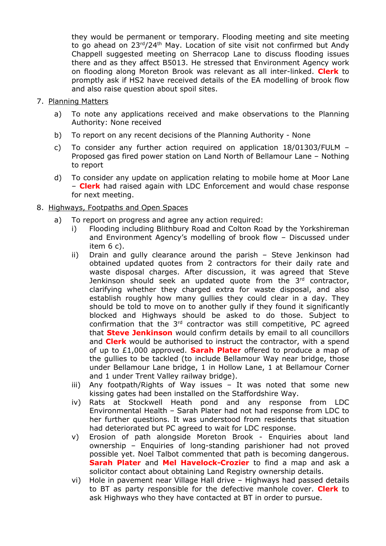they would be permanent or temporary. Flooding meeting and site meeting to go ahead on 23rd/24<sup>th</sup> May. Location of site visit not confirmed but Andy Chappell suggested meeting on Sherracop Lane to discuss flooding issues there and as they affect B5013. He stressed that Environment Agency work on flooding along Moreton Brook was relevant as all inter-linked. **Clerk** to promptly ask if HS2 have received details of the EA modelling of brook flow and also raise question about spoil sites.

- 7. Planning Matters
	- a) To note any applications received and make observations to the Planning Authority: None received
	- b) To report on any recent decisions of the Planning Authority None
	- c) To consider any further action required on application 18/01303/FULM Proposed gas fired power station on Land North of Bellamour Lane – Nothing to report
	- d) To consider any update on application relating to mobile home at Moor Lane – **Clerk** had raised again with LDC Enforcement and would chase response for next meeting.

### 8. Highways, Footpaths and Open Spaces

- a) To report on progress and agree any action required:
	- i) Flooding including Blithbury Road and Colton Road by the Yorkshireman and Environment Agency's modelling of brook flow – Discussed under item 6 c).
	- ii) Drain and gully clearance around the parish Steve Jenkinson had obtained updated quotes from 2 contractors for their daily rate and waste disposal charges. After discussion, it was agreed that Steve Jenkinson should seek an updated quote from the 3rd contractor, clarifying whether they charged extra for waste disposal, and also establish roughly how many gullies they could clear in a day. They should be told to move on to another gully if they found it significantly blocked and Highways should be asked to do those. Subject to confirmation that the 3rd contractor was still competitive, PC agreed that **Steve Jenkinson** would confirm details by email to all councillors and **Clerk** would be authorised to instruct the contractor, with a spend of up to £1,000 approved. **Sarah Plater** offered to produce a map of the gullies to be tackled (to include Bellamour Way near bridge, those under Bellamour Lane bridge, 1 in Hollow Lane, 1 at Bellamour Corner and 1 under Trent Valley railway bridge).
	- iii) Any footpath/Rights of Way issues It was noted that some new kissing gates had been installed on the Staffordshire Way.
	- iv) Rats at Stockwell Heath pond and any response from LDC Environmental Health – Sarah Plater had not had response from LDC to her further questions. It was understood from residents that situation had deteriorated but PC agreed to wait for LDC response.
	- v) Erosion of path alongside Moreton Brook Enquiries about land ownership – Enquiries of long-standing parishioner had not proved possible yet. Noel Talbot commented that path is becoming dangerous. **Sarah Plater** and **Mel Havelock-Crozier** to find a map and ask a solicitor contact about obtaining Land Registry ownership details.
	- vi) Hole in pavement near Village Hall drive Highways had passed details to BT as party responsible for the defective manhole cover. **Clerk** to ask Highways who they have contacted at BT in order to pursue.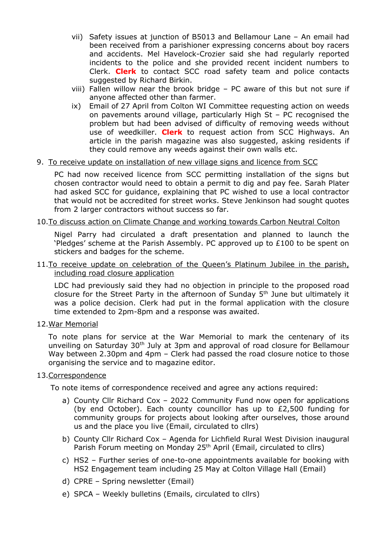- vii) Safety issues at junction of B5013 and Bellamour Lane An email had been received from a parishioner expressing concerns about boy racers and accidents. Mel Havelock-Crozier said she had regularly reported incidents to the police and she provided recent incident numbers to Clerk. **Clerk** to contact SCC road safety team and police contacts suggested by Richard Birkin.
- viii) Fallen willow near the brook bridge PC aware of this but not sure if anyone affected other than farmer.
- ix) Email of 27 April from Colton WI Committee requesting action on weeds on pavements around village, particularly High St – PC recognised the problem but had been advised of difficulty of removing weeds without use of weedkiller. **Clerk** to request action from SCC Highways. An article in the parish magazine was also suggested, asking residents if they could remove any weeds against their own walls etc.
- 9. To receive update on installation of new village signs and licence from SCC

PC had now received licence from SCC permitting installation of the signs but chosen contractor would need to obtain a permit to dig and pay fee. Sarah Plater had asked SCC for guidance, explaining that PC wished to use a local contractor that would not be accredited for street works. Steve Jenkinson had sought quotes from 2 larger contractors without success so far.

### 10.To discuss action on Climate Change and working towards Carbon Neutral Colton

Nigel Parry had circulated a draft presentation and planned to launch the 'Pledges' scheme at the Parish Assembly. PC approved up to £100 to be spent on stickers and badges for the scheme.

#### 11. To receive update on celebration of the Queen's Platinum Jubilee in the parish, including road closure application

LDC had previously said they had no objection in principle to the proposed road closure for the Street Party in the afternoon of Sunday 5th June but ultimately it was a police decision. Clerk had put in the formal application with the closure time extended to 2pm-8pm and a response was awaited.

12.War Memorial

To note plans for service at the War Memorial to mark the centenary of its unveiling on Saturday 30<sup>th</sup> July at 3pm and approval of road closure for Bellamour Way between 2.30pm and 4pm – Clerk had passed the road closure notice to those organising the service and to magazine editor.

#### 13.Correspondence

To note items of correspondence received and agree any actions required:

- a) County Cllr Richard Cox 2022 Community Fund now open for applications (by end October). Each county councillor has up to £2,500 funding for community groups for projects about looking after ourselves, those around us and the place you live (Email, circulated to cllrs)
- b) County Cllr Richard Cox Agenda for Lichfield Rural West Division inaugural Parish Forum meeting on Monday 25<sup>th</sup> April (Email, circulated to cllrs)
- c) HS2 Further series of one-to-one appointments available for booking with HS2 Engagement team including 25 May at Colton Village Hall (Email)
- d) CPRE Spring newsletter (Email)
- e) SPCA Weekly bulletins (Emails, circulated to cllrs)